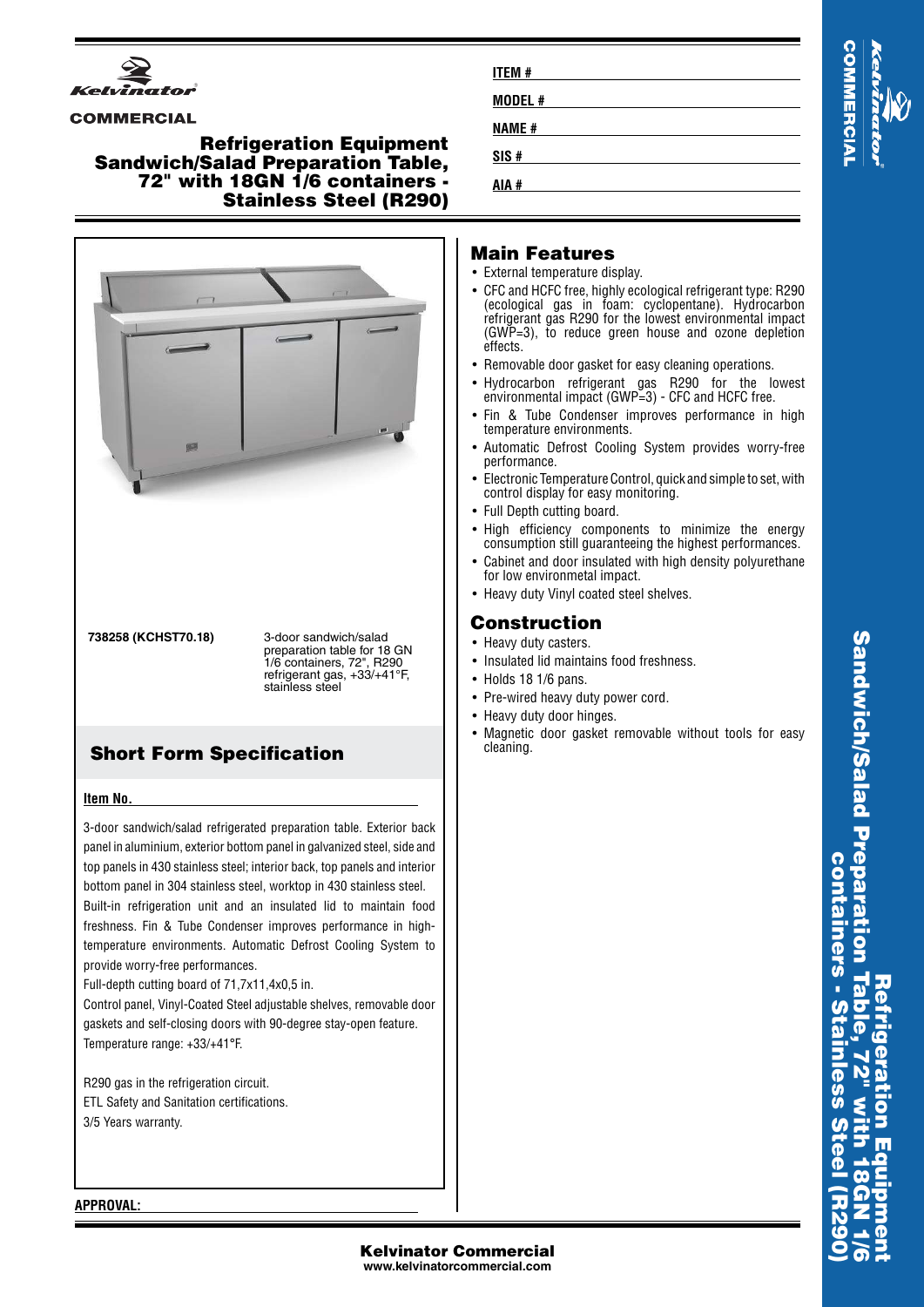

#### **COMMERCIAL**

### **Refrigeration Equipment Sandwich/Salad Preparation Table, 72" with 18GN 1/6 containers - Stainless Steel (R290)**



**738258 (KCHST70.18)** 3-door sandwich/salad preparation table for 18 GN 1/6 containers, 72", R290 refrigerant gas, +33/+41°F, stainless steel

# **Short Form Specification**

#### **Item No.**

3-door sandwich/salad refrigerated preparation table. Exterior back panel in aluminium, exterior bottom panel in galvanized steel, side and top panels in 430 stainless steel; interior back, top panels and interior bottom panel in 304 stainless steel, worktop in 430 stainless steel. Built-in refrigeration unit and an insulated lid to maintain food freshness. Fin & Tube Condenser improves performance in hightemperature environments. Automatic Defrost Cooling System to provide worry-free performances.

Full-depth cutting board of 71,7x11,4x0,5 in.

Control panel, Vinyl-Coated Steel adjustable shelves, removable door gaskets and self-closing doors with 90-degree stay-open feature. Temperature range: +33/+41°F.

R290 gas in the refrigeration circuit. ETL Safety and Sanitation certifications. 3/5 Years warranty.

| <b>ITEM#</b> |  |
|--------------|--|
| MODEL#       |  |
| <b>NAME#</b> |  |
| SIS#         |  |
| AIA #        |  |

# **IMERCIA**

### **Main Features**

- External temperature display.
- CFC and HCFC free, highly ecological refrigerant type: R290 (ecological gas in foam: cyclopentane). Hydrocarbon refrigerant gas R290 for the lowest environmental impact (GWP=3), to reduce green house and ozone depletion effects.
- •Removable door gasket for easy cleaning operations.
- •• Hydrocarbon refrigerant gas R290 for the lowest environmental impact (GWP=3) - CFC and HCFC free.
- • Fin & Tube Condenser improves performance in high temperature environments.
- • Automatic Defrost Cooling System provides worry-free performance.
- • Electronic Temperature Control, quick and simple to set, with control display for easy monitoring.
- Full Depth cutting board.
- High efficiency components to minimize the energy consumption still guaranteeing the highest performances.
- • Cabinet and door insulated with high density polyurethane for low environmetal impact.
- Heavy duty Vinyl coated steel shelves.

## **Construction**

- Heavy duty casters.
- Insulated lid maintains food freshness.
- Holds 18 1/6 pans.
- Pre-wired heavy duty power cord.
- Heavy duty door hinges.
- Magnetic door gasket removable without tools for easy cleaning.

**Sandwich/Salad Preparation Table, 72" with 18GN 1/6 Sandwich/Salad Prepara containers - Stainless Steel (R290) containers Refrigeration Equipment**

#### **APPROVAL:**

#### **Kelvinator Commercial www.kelvinatorcommercial.com**